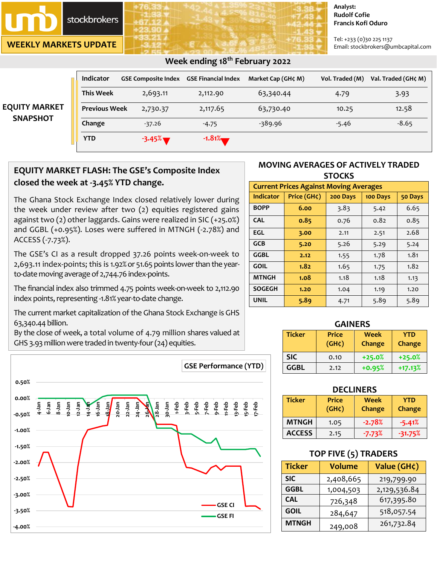## stockbrokers

**WEEKLY MARKETS UPDATE**

#### **Analyst: Rudolf Cofie Francis Kofi Oduro**

Tel: +233 (0)30 225 1137 Email: stockbrokers@umbcapital.com

| <b>EQUITY MARKET</b><br><b>SNAPSHOT</b> | <b>Indicator</b>     | <b>GSE Composite Index GSE Financial Index</b> |           | Market Cap (GH¢ M) | Vol. Traded (M) | Val. Traded (GH¢ M) |
|-----------------------------------------|----------------------|------------------------------------------------|-----------|--------------------|-----------------|---------------------|
|                                         | <b>This Week</b>     | 2,693.11                                       | 2,112.90  | 63,340.44          | 4.79            | 3.93                |
|                                         | <b>Previous Week</b> | 2,730.37                                       | 2,117.65  | 63,730.40          | 10.25           | 12.58               |
|                                         | Change               | $-37.26$                                       | $-4.75$   | -389.96            | $-5.46$         | $-8.65$             |
|                                         | <b>YTD</b>           | $-3.45\%$                                      | $-1.81\%$ |                    |                 |                     |

### **Week ending 18th February 2022**

## **EQUITY MARKET FLASH: The GSE's Composite Index closed the week at -3.45% YTD change.**

The Ghana Stock Exchange Index closed relatively lower during the week under review after two (2) equities registered gains against two (2) other laggards. Gains were realized in SIC (+25.0%) and GGBL (+0.95%). Loses were suffered in MTNGH (-2.78%) and ACCESS (-7.73%).

The GSE's CI as a result dropped 37.26 points week-on-week to 2,693.11 index-points; this is 1.92% or 51.65 points lower than the yearto-date moving average of 2,744.76 index-points.

The financial index also trimmed 4.75 points week-on-week to 2,112.90 index points, representing -1.81% year-to-date change.

The current market capitalization of the Ghana Stock Exchange is GHS 63,340.44 billion.

By the close of week, a total volume of 4.79 million shares valued at GHS 3.93 million were traded in twenty-four(24) equities.



#### **MOVING AVERAGES OF ACTIVELY TRADED STOCKS**

| <b>Current Prices Against Moving Averages</b> |             |          |          |         |  |
|-----------------------------------------------|-------------|----------|----------|---------|--|
| Indicator                                     | Price (GH¢) | 200 Days | 100 Days | 50 Days |  |
| <b>BOPP</b>                                   | 6.00        | 3.83     | 5.42     | 6.65    |  |
| <b>CAL</b>                                    | 0.85        | 0.76     | 0.82     | 0.85    |  |
| <b>EGL</b>                                    | 3.00        | 2.11     | 2.51     | 2.68    |  |
| <b>GCB</b>                                    | 5.20        | 5.26     | 5.29     | 5.24    |  |
| GGBL                                          | 2.12        | 1.55     | 1.78     | 1.81    |  |
| <b>GOIL</b>                                   | 1.82        | 1.65     | 1.75     | 1.82    |  |
| <b>MTNGH</b>                                  | 1.08        | 1.18     | 1.18     | 1.13    |  |
| <b>SOGEGH</b>                                 | 1.20        | 1.04     | 1.19     | 1.20    |  |
| <b>UNIL</b>                                   | 5.89        | 4.71     | 5.89     | 5.89    |  |

# **GAINERS**

| <b>Ticker</b> | <b>Price</b><br>$(GH\zeta)$ | Week<br>Change | YTD<br>Change |
|---------------|-----------------------------|----------------|---------------|
| <b>SIC</b>    | 0.10                        | $+25.0%$       | $+25.0%$      |
| GGBL          | 2.12                        | $+0.95%$       | $+17.13%$     |

| <b>DECLINERS</b> |                                                                              |          |           |  |  |
|------------------|------------------------------------------------------------------------------|----------|-----------|--|--|
| <b>Ticker</b>    | <b>Price</b><br>Week<br><b>YTD</b><br>(GH <sub>c</sub> )<br>Change<br>Change |          |           |  |  |
| <b>MTNGH</b>     | 1.05                                                                         | $-2.78%$ | $-5.41%$  |  |  |
| <b>ACCESS</b>    | 2.15                                                                         | $-7.73%$ | $-31.75%$ |  |  |

## **TOP FIVE (5) TRADERS**

| <b>Ticker</b> | <b>Volume</b> | Value (GH¢)  |  |
|---------------|---------------|--------------|--|
| <b>SIC</b>    | 2,408,665     | 219,799.90   |  |
| <b>GGBL</b>   | 1,004,503     | 2,129,536.84 |  |
| <b>CAL</b>    | 726,348       | 617,395.80   |  |
| <b>GOIL</b>   | 284,647       | 518,057.54   |  |
| <b>MTNGH</b>  | 249,008       | 261,732.84   |  |